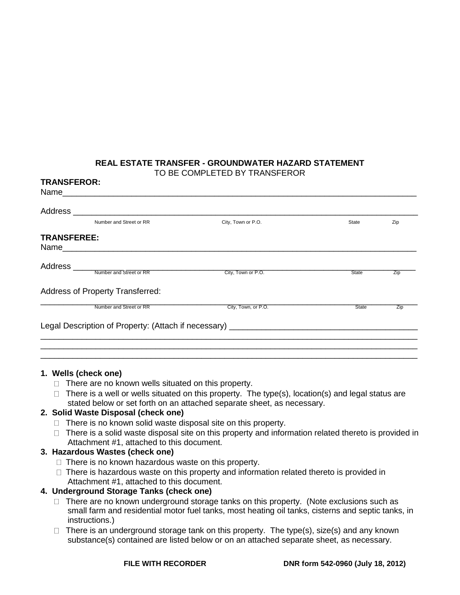#### **REAL ESTATE TRANSFER - GROUNDWATER HAZARD STATEMENT** TO BE COMPLETED BY TRANSFEROR

| Number and Street or RR                 | City, Town or P.O.  | <b>State</b> | Zip |
|-----------------------------------------|---------------------|--------------|-----|
| <b>TRANSFEREE:</b>                      |                     |              |     |
|                                         | City, Town or P.O.  | State        | Zip |
| <b>Address of Property Transferred:</b> |                     |              |     |
| Number and Street or RR                 | City, Town, or P.O. | <b>State</b> | Zip |
|                                         |                     |              |     |

### **1. Wells (check one)**

- $\Box$  There are no known wells situated on this property.
- $\Box$  There is a well or wells situated on this property. The type(s), location(s) and legal status are stated below or set forth on an attached separate sheet, as necessary.

### **2. Solid Waste Disposal (check one)**

- $\Box$  There is no known solid waste disposal site on this property.
- $\Box$  There is a solid waste disposal site on this property and information related thereto is provided in Attachment #1, attached to this document.

### **3. Hazardous Wastes (check one)**

- $\Box$  There is no known hazardous waste on this property.
- $\Box$  There is hazardous waste on this property and information related thereto is provided in Attachment #1, attached to this document.

### **4. Underground Storage Tanks (check one)**

- $\Box$  There are no known underground storage tanks on this property. (Note exclusions such as small farm and residential motor fuel tanks, most heating oil tanks, cisterns and septic tanks, in instructions.)
- $\Box$  There is an underground storage tank on this property. The type(s), size(s) and any known substance(s) contained are listed below or on an attached separate sheet, as necessary.